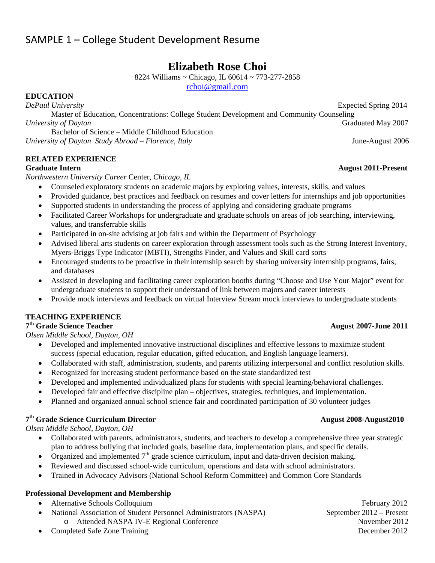# SAMPLE 1 – College Student Development Resume

# **Elizabeth Rose Choi**

8224 Williams ~ Chicago, IL 60614 ~ 773-277-2858

rchoi@gmail.com

**EDUCATION** 

 Master of Education, Concentrations: College Student Development and Community Counseling *University of Dayton* Graduated May 2007 Bachelor of Science – Middle Childhood Education

*University of Dayton Study Abroad – Florence, Italy* June-August 2006

## **RELATED EXPERIENCE**

## **Graduate Intern August 2011-Present**

*Northwestern University Career* Center*, Chicago, IL* 

- Counseled exploratory students on academic majors by exploring values, interests, skills, and values
- Provided guidance, best practices and feedback on resumes and cover letters for internships and job opportunities
- Supported students in understanding the process of applying and considering graduate programs
- Facilitated Career Workshops for undergraduate and graduate schools on areas of job searching, interviewing, values, and transferrable skills
- Participated in on-site advising at job fairs and within the Department of Psychology
- Advised liberal arts students on career exploration through assessment tools such as the Strong Interest Inventory, Myers-Briggs Type Indicator (MBTI), Strengths Finder, and Values and Skill card sorts
- Encouraged students to be proactive in their internship search by sharing university internship programs, fairs, and databases
- Assisted in developing and facilitating career exploration booths during "Choose and Use Your Major" event for undergraduate students to support their understand of link between majors and career interests
- Provide mock interviews and feedback on virtual Interview Stream mock interviews to undergraduate students

## **TEACHING EXPERIENCE**

# **7th Grade Science Teacher August 2007-June 2011**

*Olsen Middle School, Dayton, OH*

- Developed and implemented innovative instructional disciplines and effective lessons to maximize student success (special education, regular education, gifted education, and English language learners).
- Collaborated with staff, administration, students, and parents utilizing interpersonal and conflict resolution skills.
- Recognized for increasing student performance based on the state standardized test
- Developed and implemented individualized plans for students with special learning/behavioral challenges.
- Developed fair and effective discipline plan objectives, strategies, techniques, and implementation.
- Planned and organized annual school science fair and coordinated participation of 30 volunteer judges

# **7th Grade Science Curriculum Director August 2008-August2010**

*Olsen Middle School, Dayton, OH*

- Collaborated with parents, administrators, students, and teachers to develop a comprehensive three year strategic plan to address bullying that included goals, baseline data, implementation plans, and specific details.
- Organized and implemented  $7<sup>th</sup>$  grade science curriculum, input and data-driven decision making.
- Reviewed and discussed school-wide curriculum, operations and data with school administrators.
- Trained in Advocacy Advisors (National School Reform Committee) and Common Core Standards

## **Professional Development and Membership**

- Alternative Schools Colloquium February 2012
	- National Association of Student Personnel Administrators (NASPA) September 2012 Present
		- o Attended NASPA IV-E Regional Conference November 2012
- Completed Safe Zone Training December 2012

*DePaul University* Expected Spring 2014